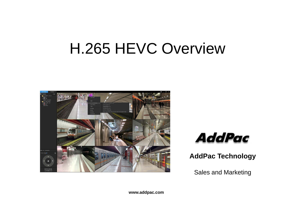# H.265 HEVC Overview





**AddPac Technology**

Sales and Marketing

**www.addpac.com**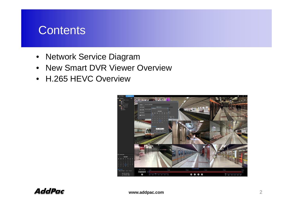#### **Contents**

- Network Service Diagram
- New Smart DVR Viewer Overview
- H.265 HEVC Overview

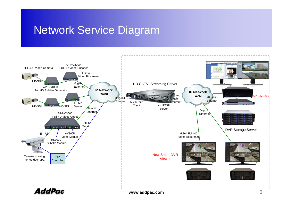#### Network Service Diagram

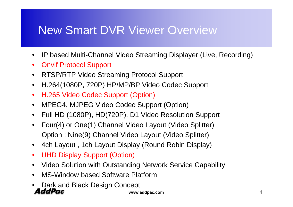## New Smart DVR Viewer Overview

- $\bullet$ • IP based Multi-Channel Video Streaming Displayer (Live, Recording)
- $\bullet$ Onvif Protocol Support
- •RTSP/RTP Video Streaming Protocol Support
- •H.264(1080P, 720P) HP/MP/BP Video Codec Support
- $\bullet$ H.265 Video Codec Support (Option)
- $\bullet$ • MPEG4, MJPEG Video Codec Support (Option)
- $\bullet$ Full HD (1080P), HD(720P), D1 Video Resolution Support
- •Four(4) or One(1) Channel Video Layout (Video Splitter) Option : Nine(9) Channel Video Layout (Video Splitter)
- $\bullet$ 4ch Layout , 1ch Layout Display (Round Robin Display)
- $\bullet$ UHD Display Support (Option)
- •Video Solution with Outstanding Network Service Capability
- MS-Window based Software Platform •
- •Dark and Black Design Concept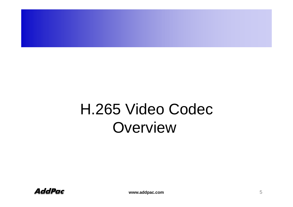# H.265 Video Codec **Overview**

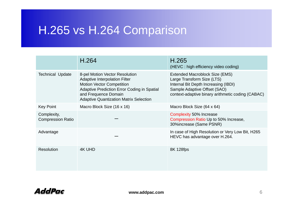# H.265 vs H.264 Comparison

|                                         | H.264                                                                                                                                                                                                                                     | H.265<br>(HEVC : high efficiency video coding)                                                                                                                                            |
|-----------------------------------------|-------------------------------------------------------------------------------------------------------------------------------------------------------------------------------------------------------------------------------------------|-------------------------------------------------------------------------------------------------------------------------------------------------------------------------------------------|
| <b>Technical Update</b>                 | 8-pel Motion Vector Resolution<br><b>Adaptive Interpolation Filter</b><br><b>Motion Vector Competition</b><br><b>Adaptive Prediction Error Coding in Spatial</b><br>and Frequence Domain<br><b>Adaptive Quantization Matrix Selection</b> | Extended Macroblock Size (EMS)<br>Large Transform Size (LTS)<br>Internal Bit Depth Increasing (IBDI)<br>Sample Adaptive Offset (SAO)<br>context-adaptive binary arithmetic coding (CABAC) |
| Key Point                               | Macro Block Size (16 x 16)                                                                                                                                                                                                                | Macro Block Size (64 x 64)                                                                                                                                                                |
| Complexity,<br><b>Compression Ratio</b> |                                                                                                                                                                                                                                           | <b>Complexity 50% Increase</b><br>Compression Ratio Up to 50% Increase,<br>30%increase (Same PSNR)                                                                                        |
| Advantage                               |                                                                                                                                                                                                                                           | In case of High Resolution or Very Low Bit, H265<br>HEVC has advantage over H.264.                                                                                                        |
| <b>Resolution</b>                       | 4K UHD                                                                                                                                                                                                                                    | 8K 128fps                                                                                                                                                                                 |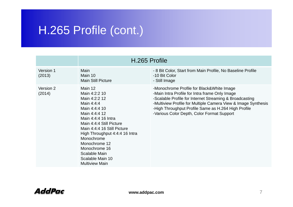## H.265 Profile (cont.)

|                     | H.265 Profile                                                                                                                                                                                                                                                                  |                                                                                                                                                                                                                                                                                                                              |  |
|---------------------|--------------------------------------------------------------------------------------------------------------------------------------------------------------------------------------------------------------------------------------------------------------------------------|------------------------------------------------------------------------------------------------------------------------------------------------------------------------------------------------------------------------------------------------------------------------------------------------------------------------------|--|
| Version 1<br>(2013) | Main<br>Main 10<br><b>Main Still Picture</b>                                                                                                                                                                                                                                   | - 8 Bit Color, Start from Main Profile, No Baseline Profile<br>-10 Bit Color<br>- Still Image                                                                                                                                                                                                                                |  |
| Version 2<br>(2014) | Main 12<br>Main 4:2:2 10<br>Main 4:2:2 12<br>Main 4:4:4<br>Main 4:4:4 10<br>Main 4:4:4 12<br>Main 4:4:4 16 Intra<br>Main 4:4:4 Still Picture<br>Main 4:4:4 16 Still Picture<br>High Throughput 4:4:4 16 Intra<br>Monochrome<br>Monochrome 12<br>Monochrome 16<br>Scalable Main | -Monochrome Profile for Black&White Image<br>-Main Intra Profile for Intra frame Only Image<br>-Scalable Profile for Internet Streaming & Broadcasting<br>-Multiview Profile for Multiple Camera View & Image Synthesis<br>-High Throughput Profile Same as H.264 High Profile<br>-Various Color Depth, Color Format Support |  |
|                     | Scalable Main 10<br><b>Multiview Main</b>                                                                                                                                                                                                                                      |                                                                                                                                                                                                                                                                                                                              |  |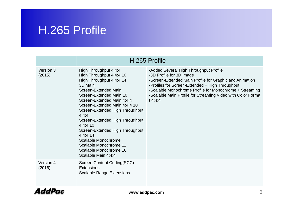### H.265 Profile

|                     | H.265 Profile                                                                                                                                                                                                                                                                                                                                                                                                                                            |                                                                                                                                                                                                                                                                                                                         |  |  |
|---------------------|----------------------------------------------------------------------------------------------------------------------------------------------------------------------------------------------------------------------------------------------------------------------------------------------------------------------------------------------------------------------------------------------------------------------------------------------------------|-------------------------------------------------------------------------------------------------------------------------------------------------------------------------------------------------------------------------------------------------------------------------------------------------------------------------|--|--|
| Version 3<br>(2015) | High Throughput 4:4:4<br>High Throughput 4:4:4 10<br>High Throughput 4:4:4 14<br>3D Main<br>Screen-Extended Main<br>Screen-Extended Main 10<br>Screen-Extended Main 4:4:4<br>Screen-Extended Main 4:4:4 10<br>Screen-Extended High Throughput<br>4:4:4<br>Screen-Extended High Throughput<br>4:4:4:10<br>Screen-Extended High Throughput<br>$4:4:4$ 14<br>Scalable Monochrome<br>Scalable Monochrome 12<br>Scalable Monochrome 16<br>Scalable Main 4:4:4 | -Added Several High Throughput Profile<br>-3D Profile for 3D Image<br>-Screen-Extended Main Profile for Graphic and Animation<br>-Profiles for Screen-Extended + High Throughput<br>-Scalable Monochrome Profile for Monochrome + Streaming<br>-Scalable Main Profile for Streaming Video with Color Forma<br>$t$ 4:4:4 |  |  |
| Version 4<br>(2016) | Screen Content Coding(SCC)<br><b>Extensions</b><br><b>Scalable Range Extensions</b>                                                                                                                                                                                                                                                                                                                                                                      |                                                                                                                                                                                                                                                                                                                         |  |  |

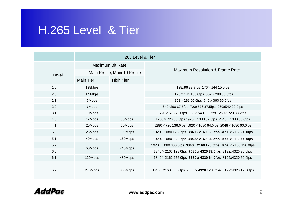#### H.265 Level & Tier H.265

|       | H.265 Level & Tier            |                  |                                                                                  |  |
|-------|-------------------------------|------------------|----------------------------------------------------------------------------------|--|
|       | <b>Maximum Bit Rate</b>       |                  |                                                                                  |  |
| Level | Main Profile, Main 10 Profile |                  | <b>Maximum Resolution &amp; Frame Rate</b>                                       |  |
|       | <b>Main Tier</b>              | <b>High Tier</b> |                                                                                  |  |
| 1.0   | 128kbps                       |                  | 128x96 33.7fps $176 \times 144$ 15.0fps                                          |  |
| 2.0   | 1.5Mbps                       |                  | 176 x 144 100.0fps $352 \times 288$ 30.0fps                                      |  |
| 2.1   | 3Mbps                         |                  | $352 \times 288$ 60.0fps 640 x 360 30.0fps                                       |  |
| 3.0   | 6Mbps                         |                  | 640x360 67.5fps 720x576 37.5fps 960x540 30.0fps                                  |  |
| 3.1   | 10Mbps                        |                  | 720 $\times$ 576 75.0fps 960 $\times$ 540 60.0fps 1280 $\times$ 720 33.7fps      |  |
| 4.0   | 12Mbps                        | 30Mbps           | $1280 \times 720$ 68.0fps $1920 \times 1080$ 32.0fps $2048 \times 1080$ 30.0fps  |  |
| 4.1   | 20Mbps                        | 50Mbps           | $1280 \times 720$ 136.0fps $1920 \times 1080$ 64.0fps $2048 \times 1080$ 60.0fps |  |
| 5.0   | 25Mbps                        | 100Mbps          | $1920 \times 1080$ 128.0fps 3840 $\times$ 2160 32.0fps 4096 x 2160 30.0fps       |  |
| 5.1   | 40Mbps                        | 160Mbps          | $1920 \times 1080$ 256.0fps $3840 \times 2160$ 64.0fps 4096 x 2160 60.0fps       |  |
| 5.2   |                               | 240Mbps          | $1920 \times 1080$ 300.0fps 3840 $\times$ 2160 128.0fps 4096 x 2160 120.0fps     |  |
| 6.0   | 60Mbps                        |                  | $3840 \times 2160$ 128.0fps 7680 x 4320 32.0fps 8192x4320 30.0fps                |  |
| 6.1   | 120Mbps                       | 480Mbps          | $3840 \times 2160$ 256.0fps 7680 x 4320 64.0fps 8192x4320 60.0fps                |  |
| 6.2   | 240Mbps                       | 800Mbps          | $3840 \times 2160$ 300.0fps 7680 x 4320 128.0fps 8192x4320 120.0fps              |  |